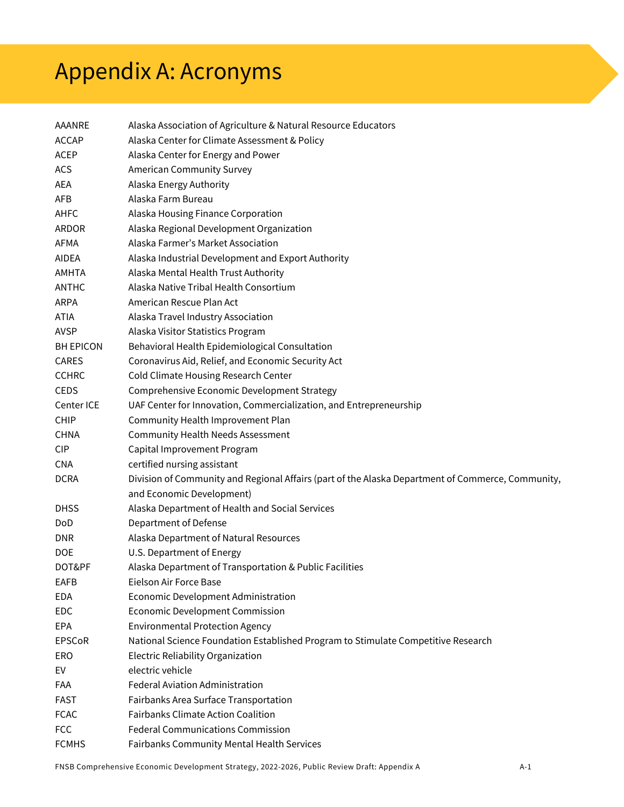## Appendix A: Acronyms

| AAANRE           | Alaska Association of Agriculture & Natural Resource Educators                                    |
|------------------|---------------------------------------------------------------------------------------------------|
| <b>ACCAP</b>     | Alaska Center for Climate Assessment & Policy                                                     |
| ACEP             | Alaska Center for Energy and Power                                                                |
| <b>ACS</b>       | <b>American Community Survey</b>                                                                  |
| AEA              | Alaska Energy Authority                                                                           |
| <b>AFB</b>       | Alaska Farm Bureau                                                                                |
| AHFC             | Alaska Housing Finance Corporation                                                                |
| ARDOR            | Alaska Regional Development Organization                                                          |
| AFMA             | Alaska Farmer's Market Association                                                                |
| AIDEA            | Alaska Industrial Development and Export Authority                                                |
| AMHTA            | Alaska Mental Health Trust Authority                                                              |
| ANTHC            | Alaska Native Tribal Health Consortium                                                            |
| <b>ARPA</b>      | American Rescue Plan Act                                                                          |
| <b>ATIA</b>      | Alaska Travel Industry Association                                                                |
| <b>AVSP</b>      | Alaska Visitor Statistics Program                                                                 |
| <b>BH EPICON</b> | Behavioral Health Epidemiological Consultation                                                    |
| <b>CARES</b>     | Coronavirus Aid, Relief, and Economic Security Act                                                |
| <b>CCHRC</b>     | Cold Climate Housing Research Center                                                              |
| <b>CEDS</b>      | Comprehensive Economic Development Strategy                                                       |
| Center ICE       | UAF Center for Innovation, Commercialization, and Entrepreneurship                                |
| <b>CHIP</b>      | Community Health Improvement Plan                                                                 |
| <b>CHNA</b>      | <b>Community Health Needs Assessment</b>                                                          |
| <b>CIP</b>       | Capital Improvement Program                                                                       |
| <b>CNA</b>       | certified nursing assistant                                                                       |
| <b>DCRA</b>      | Division of Community and Regional Affairs (part of the Alaska Department of Commerce, Community, |
|                  | and Economic Development)                                                                         |
| <b>DHSS</b>      | Alaska Department of Health and Social Services                                                   |
| <b>DoD</b>       | Department of Defense                                                                             |
| <b>DNR</b>       | Alaska Department of Natural Resources                                                            |
| <b>DOE</b>       | U.S. Department of Energy                                                                         |
| DOT&PF           | Alaska Department of Transportation & Public Facilities                                           |
| <b>EAFB</b>      | Eielson Air Force Base                                                                            |
| <b>EDA</b>       | Economic Development Administration                                                               |
| EDC              | <b>Economic Development Commission</b>                                                            |
| <b>EPA</b>       | <b>Environmental Protection Agency</b>                                                            |
| <b>EPSCoR</b>    | National Science Foundation Established Program to Stimulate Competitive Research                 |
| <b>ERO</b>       | Electric Reliability Organization                                                                 |
| EV               | electric vehicle                                                                                  |
| FAA              | Federal Aviation Administration                                                                   |
| <b>FAST</b>      | Fairbanks Area Surface Transportation                                                             |
| <b>FCAC</b>      | <b>Fairbanks Climate Action Coalition</b>                                                         |
| <b>FCC</b>       | <b>Federal Communications Commission</b>                                                          |
| <b>FCMHS</b>     | Fairbanks Community Mental Health Services                                                        |